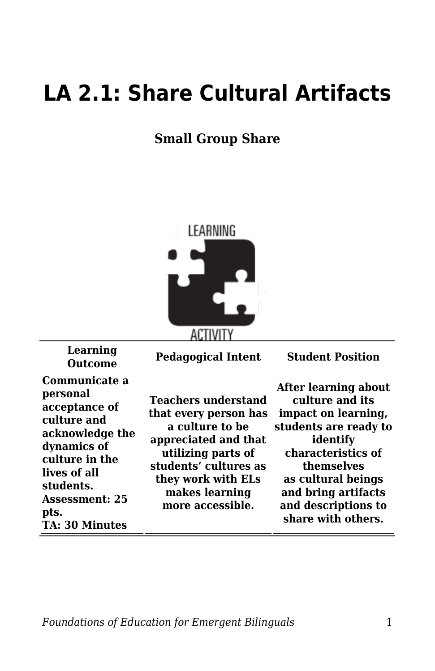## **LA 2.1: Share Cultural Artifacts**

## **Small Group Share**



| Learning<br><b>Outcome</b>                                                                                                                                                                           | <b>Pedagogical Intent</b>                                                                                                                                                                                 | <b>Student Position</b>                                                                                                                                                                                                           |
|------------------------------------------------------------------------------------------------------------------------------------------------------------------------------------------------------|-----------------------------------------------------------------------------------------------------------------------------------------------------------------------------------------------------------|-----------------------------------------------------------------------------------------------------------------------------------------------------------------------------------------------------------------------------------|
| Communicate a<br>personal<br>acceptance of<br>culture and<br>acknowledge the<br>dynamics of<br>culture in the<br>lives of all<br>students.<br><b>Assessment: 25</b><br>pts.<br><b>TA: 30 Minutes</b> | <b>Teachers understand</b><br>that every person has<br>a culture to be<br>appreciated and that<br>utilizing parts of<br>students' cultures as<br>they work with ELs<br>makes learning<br>more accessible. | After learning about<br>culture and its<br>impact on learning,<br>students are ready to<br>identify<br>characteristics of<br>themselves<br>as cultural beings<br>and bring artifacts<br>and descriptions to<br>share with others. |